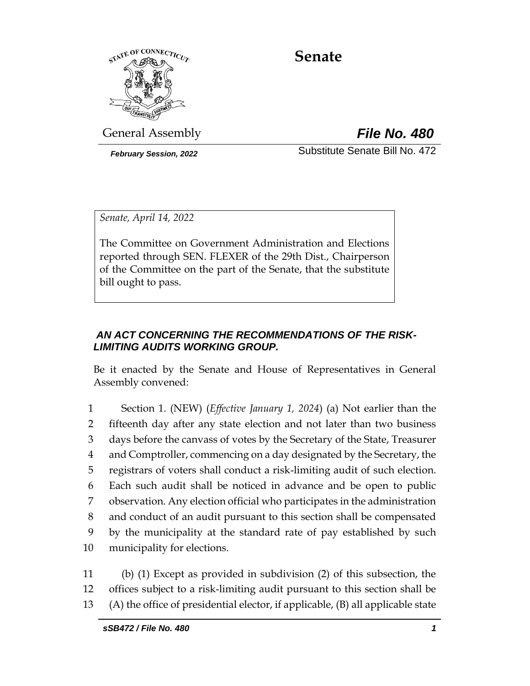

# **Senate**

General Assembly *File No. 480*

*February Session, 2022* Substitute Senate Bill No. 472

*Senate, April 14, 2022*

The Committee on Government Administration and Elections reported through SEN. FLEXER of the 29th Dist., Chairperson of the Committee on the part of the Senate, that the substitute bill ought to pass.

### *AN ACT CONCERNING THE RECOMMENDATIONS OF THE RISK-LIMITING AUDITS WORKING GROUP.*

Be it enacted by the Senate and House of Representatives in General Assembly convened:

 Section 1. (NEW) (*Effective January 1, 2024*) (a) Not earlier than the fifteenth day after any state election and not later than two business days before the canvass of votes by the Secretary of the State, Treasurer and Comptroller, commencing on a day designated by the Secretary, the registrars of voters shall conduct a risk-limiting audit of such election. Each such audit shall be noticed in advance and be open to public observation. Any election official who participates in the administration and conduct of an audit pursuant to this section shall be compensated by the municipality at the standard rate of pay established by such municipality for elections.

11 (b) (1) Except as provided in subdivision (2) of this subsection, the 12 offices subject to a risk-limiting audit pursuant to this section shall be 13 (A) the office of presidential elector, if applicable, (B) all applicable state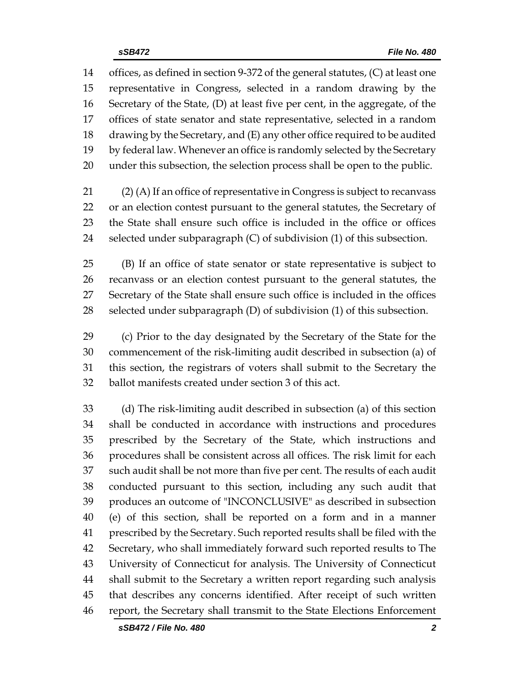offices, as defined in section 9-372 of the general statutes, (C) at least one representative in Congress, selected in a random drawing by the Secretary of the State, (D) at least five per cent, in the aggregate, of the offices of state senator and state representative, selected in a random drawing by the Secretary, and (E) any other office required to be audited by federal law. Whenever an office is randomly selected by the Secretary under this subsection, the selection process shall be open to the public.

 (2) (A) If an office of representative in Congress is subject to recanvass or an election contest pursuant to the general statutes, the Secretary of the State shall ensure such office is included in the office or offices selected under subparagraph (C) of subdivision (1) of this subsection.

 (B) If an office of state senator or state representative is subject to recanvass or an election contest pursuant to the general statutes, the Secretary of the State shall ensure such office is included in the offices selected under subparagraph (D) of subdivision (1) of this subsection.

 (c) Prior to the day designated by the Secretary of the State for the commencement of the risk-limiting audit described in subsection (a) of this section, the registrars of voters shall submit to the Secretary the ballot manifests created under section 3 of this act.

 (d) The risk-limiting audit described in subsection (a) of this section shall be conducted in accordance with instructions and procedures prescribed by the Secretary of the State, which instructions and procedures shall be consistent across all offices. The risk limit for each such audit shall be not more than five per cent. The results of each audit conducted pursuant to this section, including any such audit that produces an outcome of "INCONCLUSIVE" as described in subsection (e) of this section, shall be reported on a form and in a manner prescribed by the Secretary. Such reported results shall be filed with the Secretary, who shall immediately forward such reported results to The University of Connecticut for analysis. The University of Connecticut shall submit to the Secretary a written report regarding such analysis that describes any concerns identified. After receipt of such written report, the Secretary shall transmit to the State Elections Enforcement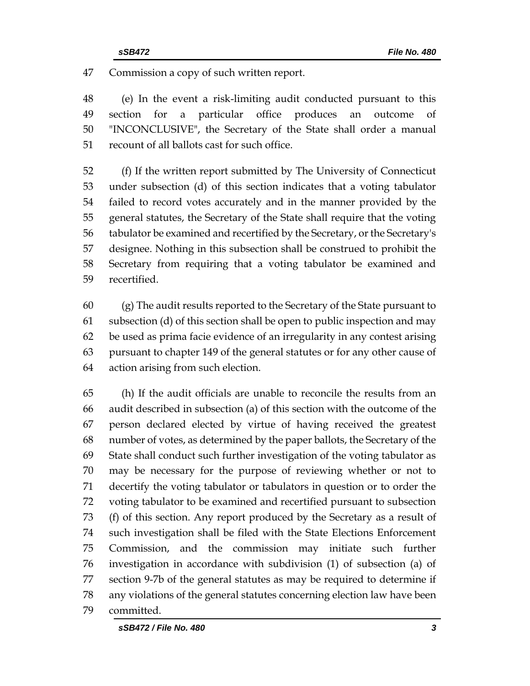Commission a copy of such written report.

 (e) In the event a risk-limiting audit conducted pursuant to this section for a particular office produces an outcome of "INCONCLUSIVE", the Secretary of the State shall order a manual recount of all ballots cast for such office.

 (f) If the written report submitted by The University of Connecticut under subsection (d) of this section indicates that a voting tabulator failed to record votes accurately and in the manner provided by the general statutes, the Secretary of the State shall require that the voting tabulator be examined and recertified by the Secretary, or the Secretary's designee. Nothing in this subsection shall be construed to prohibit the Secretary from requiring that a voting tabulator be examined and recertified.

 (g) The audit results reported to the Secretary of the State pursuant to subsection (d) of this section shall be open to public inspection and may be used as prima facie evidence of an irregularity in any contest arising pursuant to chapter 149 of the general statutes or for any other cause of action arising from such election.

 (h) If the audit officials are unable to reconcile the results from an audit described in subsection (a) of this section with the outcome of the person declared elected by virtue of having received the greatest number of votes, as determined by the paper ballots, the Secretary of the State shall conduct such further investigation of the voting tabulator as may be necessary for the purpose of reviewing whether or not to decertify the voting tabulator or tabulators in question or to order the voting tabulator to be examined and recertified pursuant to subsection (f) of this section. Any report produced by the Secretary as a result of such investigation shall be filed with the State Elections Enforcement Commission, and the commission may initiate such further investigation in accordance with subdivision (1) of subsection (a) of section 9-7b of the general statutes as may be required to determine if any violations of the general statutes concerning election law have been committed.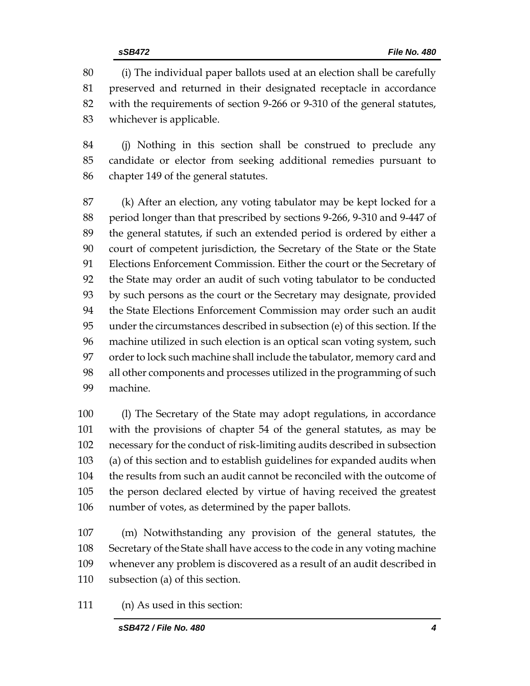(i) The individual paper ballots used at an election shall be carefully preserved and returned in their designated receptacle in accordance with the requirements of section 9-266 or 9-310 of the general statutes, whichever is applicable.

 (j) Nothing in this section shall be construed to preclude any candidate or elector from seeking additional remedies pursuant to chapter 149 of the general statutes.

 (k) After an election, any voting tabulator may be kept locked for a period longer than that prescribed by sections 9-266, 9-310 and 9-447 of the general statutes, if such an extended period is ordered by either a court of competent jurisdiction, the Secretary of the State or the State Elections Enforcement Commission. Either the court or the Secretary of the State may order an audit of such voting tabulator to be conducted by such persons as the court or the Secretary may designate, provided the State Elections Enforcement Commission may order such an audit under the circumstances described in subsection (e) of this section. If the machine utilized in such election is an optical scan voting system, such order to lock such machine shall include the tabulator, memory card and all other components and processes utilized in the programming of such machine.

 (l) The Secretary of the State may adopt regulations, in accordance with the provisions of chapter 54 of the general statutes, as may be necessary for the conduct of risk-limiting audits described in subsection (a) of this section and to establish guidelines for expanded audits when the results from such an audit cannot be reconciled with the outcome of the person declared elected by virtue of having received the greatest number of votes, as determined by the paper ballots.

 (m) Notwithstanding any provision of the general statutes, the Secretary of the State shall have access to the code in any voting machine whenever any problem is discovered as a result of an audit described in subsection (a) of this section.

(n) As used in this section: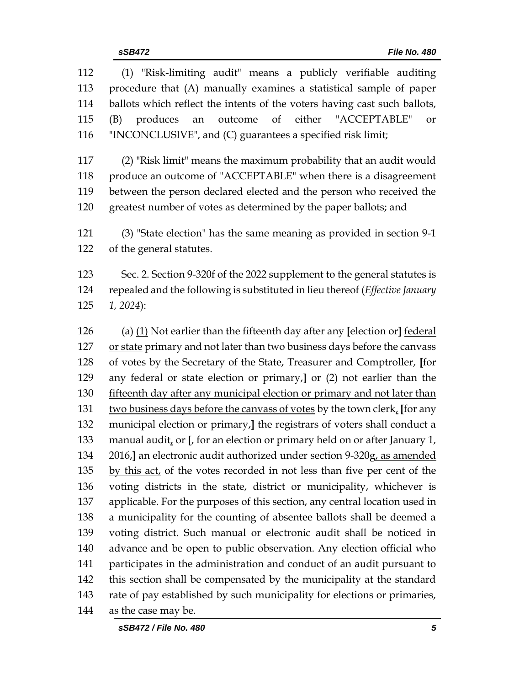| 112 | (1) "Risk-limiting audit" means a publicly verifiable auditing               |
|-----|------------------------------------------------------------------------------|
| 113 | procedure that (A) manually examines a statistical sample of paper           |
| 114 | ballots which reflect the intents of the voters having cast such ballots,    |
| 115 | outcome of<br>either<br>produces<br>"ACCEPTABLE"<br>(B)<br>an<br>or          |
| 116 | "INCONCLUSIVE", and (C) guarantees a specified risk limit;                   |
| 117 | (2) "Risk limit" means the maximum probability that an audit would           |
| 118 | produce an outcome of "ACCEPTABLE" when there is a disagreement              |
| 119 | between the person declared elected and the person who received the          |
| 120 | greatest number of votes as determined by the paper ballots; and             |
| 121 | (3) "State election" has the same meaning as provided in section 9-1         |
| 122 | of the general statutes.                                                     |
| 123 | Sec. 2. Section 9-320f of the 2022 supplement to the general statutes is     |
| 124 | repealed and the following is substituted in lieu thereof (Effective January |
| 125 | $1, 2024$ :                                                                  |
| 126 | (a) $(1)$ Not earlier than the fifteenth day after any [election or] federal |
| 127 | or state primary and not later than two business days before the canvass     |
| 128 | of votes by the Secretary of the State, Treasurer and Comptroller, [for      |
| 129 | any federal or state election or primary,] or (2) not earlier than the       |
| 130 | fifteenth day after any municipal election or primary and not later than     |
| 131 | two business days before the canvass of votes by the town clerk, [for any    |
| 132 | municipal election or primary,] the registrars of voters shall conduct a     |
| 133 | manual audit, or [, for an election or primary held on or after January 1,   |
| 134 | 2016,] an electronic audit authorized under section 9-320g, as amended       |
| 135 | by this act, of the votes recorded in not less than five per cent of the     |
| 136 | voting districts in the state, district or municipality, whichever is        |
| 137 | applicable. For the purposes of this section, any central location used in   |
| 138 | a municipality for the counting of absentee ballots shall be deemed a        |
| 139 | voting district. Such manual or electronic audit shall be noticed in         |
| 140 | advance and be open to public observation. Any election official who         |
| 141 | participates in the administration and conduct of an audit pursuant to       |
| 142 | this section shall be compensated by the municipality at the standard        |
| 143 | rate of pay established by such municipality for elections or primaries,     |
| 144 | as the case may be.                                                          |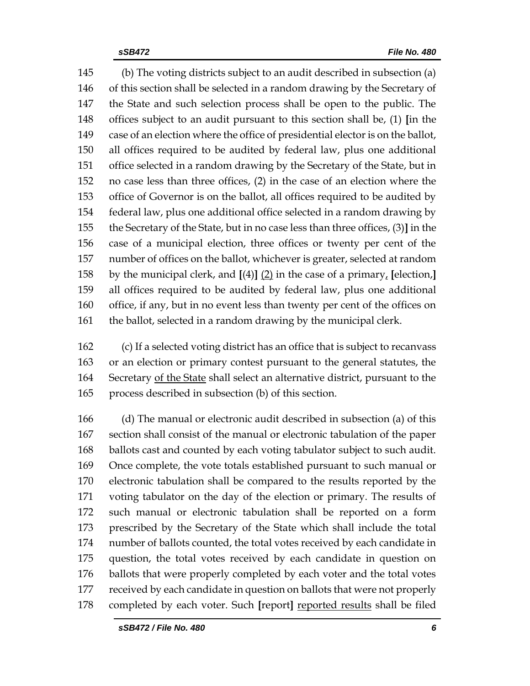(b) The voting districts subject to an audit described in subsection (a) of this section shall be selected in a random drawing by the Secretary of the State and such selection process shall be open to the public. The offices subject to an audit pursuant to this section shall be, (1) **[**in the case of an election where the office of presidential elector is on the ballot, all offices required to be audited by federal law, plus one additional office selected in a random drawing by the Secretary of the State, but in no case less than three offices, (2) in the case of an election where the office of Governor is on the ballot, all offices required to be audited by federal law, plus one additional office selected in a random drawing by the Secretary of the State, but in no case less than three offices, (3)**]** in the case of a municipal election, three offices or twenty per cent of the number of offices on the ballot, whichever is greater, selected at random by the municipal clerk, and **[**(4)**]** (2) in the case of a primary, **[**election,**]** all offices required to be audited by federal law, plus one additional office, if any, but in no event less than twenty per cent of the offices on 161 the ballot, selected in a random drawing by the municipal clerk.

 (c) If a selected voting district has an office that is subject to recanvass or an election or primary contest pursuant to the general statutes, the 164 Secretary of the State shall select an alternative district, pursuant to the process described in subsection (b) of this section.

 (d) The manual or electronic audit described in subsection (a) of this section shall consist of the manual or electronic tabulation of the paper ballots cast and counted by each voting tabulator subject to such audit. Once complete, the vote totals established pursuant to such manual or electronic tabulation shall be compared to the results reported by the voting tabulator on the day of the election or primary. The results of such manual or electronic tabulation shall be reported on a form prescribed by the Secretary of the State which shall include the total number of ballots counted, the total votes received by each candidate in question, the total votes received by each candidate in question on ballots that were properly completed by each voter and the total votes received by each candidate in question on ballots that were not properly completed by each voter. Such **[**report**]** reported results shall be filed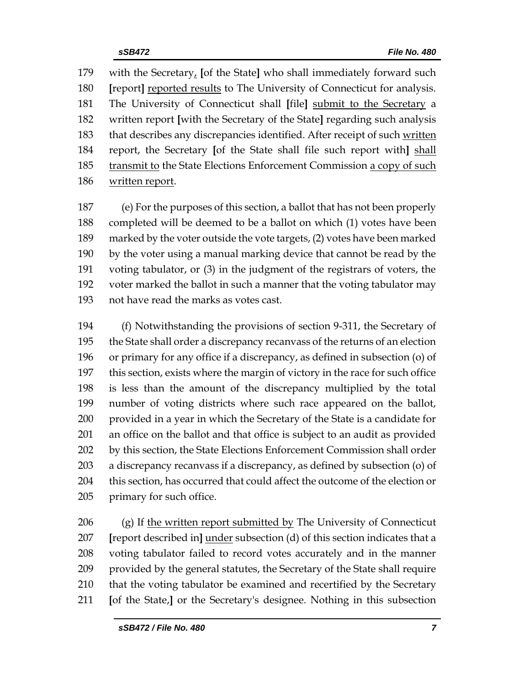with the Secretary, **[**of the State**]** who shall immediately forward such **[**report**]** reported results to The University of Connecticut for analysis. The University of Connecticut shall **[**file**]** submit to the Secretary a written report **[**with the Secretary of the State**]** regarding such analysis 183 that describes any discrepancies identified. After receipt of such written report, the Secretary **[**of the State shall file such report with**]** shall 185 transmit to the State Elections Enforcement Commission a copy of such written report.

 (e) For the purposes of this section, a ballot that has not been properly completed will be deemed to be a ballot on which (1) votes have been marked by the voter outside the vote targets, (2) votes have been marked by the voter using a manual marking device that cannot be read by the voting tabulator, or (3) in the judgment of the registrars of voters, the voter marked the ballot in such a manner that the voting tabulator may not have read the marks as votes cast.

 (f) Notwithstanding the provisions of section 9-311, the Secretary of the State shall order a discrepancy recanvass of the returns of an election or primary for any office if a discrepancy, as defined in subsection (o) of this section, exists where the margin of victory in the race for such office is less than the amount of the discrepancy multiplied by the total number of voting districts where such race appeared on the ballot, provided in a year in which the Secretary of the State is a candidate for an office on the ballot and that office is subject to an audit as provided 202 by this section, the State Elections Enforcement Commission shall order a discrepancy recanvass if a discrepancy, as defined by subsection (o) of this section, has occurred that could affect the outcome of the election or primary for such office.

206 (g) If the written report submitted by The University of Connecticut **[**report described in**]** under subsection (d) of this section indicates that a voting tabulator failed to record votes accurately and in the manner provided by the general statutes, the Secretary of the State shall require that the voting tabulator be examined and recertified by the Secretary **[**of the State,**]** or the Secretary's designee. Nothing in this subsection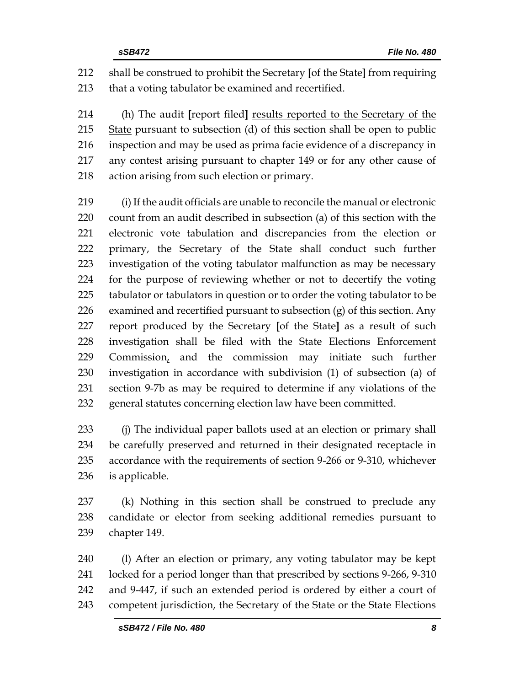shall be construed to prohibit the Secretary **[**of the State**]** from requiring that a voting tabulator be examined and recertified.

 (h) The audit **[**report filed**]** results reported to the Secretary of the State pursuant to subsection (d) of this section shall be open to public inspection and may be used as prima facie evidence of a discrepancy in any contest arising pursuant to chapter 149 or for any other cause of action arising from such election or primary.

 (i) If the audit officials are unable to reconcile the manual or electronic count from an audit described in subsection (a) of this section with the electronic vote tabulation and discrepancies from the election or primary, the Secretary of the State shall conduct such further investigation of the voting tabulator malfunction as may be necessary for the purpose of reviewing whether or not to decertify the voting tabulator or tabulators in question or to order the voting tabulator to be 226 examined and recertified pursuant to subsection  $(g)$  of this section. Any report produced by the Secretary **[**of the State**]** as a result of such investigation shall be filed with the State Elections Enforcement Commission, and the commission may initiate such further investigation in accordance with subdivision (1) of subsection (a) of section 9-7b as may be required to determine if any violations of the general statutes concerning election law have been committed.

233 (i) The individual paper ballots used at an election or primary shall be carefully preserved and returned in their designated receptacle in accordance with the requirements of section 9-266 or 9-310, whichever is applicable.

 (k) Nothing in this section shall be construed to preclude any candidate or elector from seeking additional remedies pursuant to chapter 149.

 (l) After an election or primary, any voting tabulator may be kept locked for a period longer than that prescribed by sections 9-266, 9-310 and 9-447, if such an extended period is ordered by either a court of 243 competent jurisdiction, the Secretary of the State or the State Elections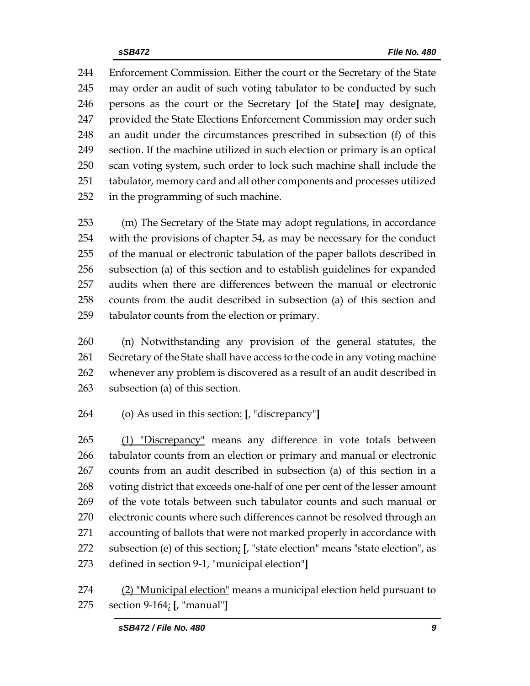Enforcement Commission. Either the court or the Secretary of the State may order an audit of such voting tabulator to be conducted by such persons as the court or the Secretary **[**of the State**]** may designate, provided the State Elections Enforcement Commission may order such an audit under the circumstances prescribed in subsection (f) of this section. If the machine utilized in such election or primary is an optical scan voting system, such order to lock such machine shall include the tabulator, memory card and all other components and processes utilized in the programming of such machine.

 (m) The Secretary of the State may adopt regulations, in accordance with the provisions of chapter 54, as may be necessary for the conduct of the manual or electronic tabulation of the paper ballots described in subsection (a) of this section and to establish guidelines for expanded audits when there are differences between the manual or electronic counts from the audit described in subsection (a) of this section and tabulator counts from the election or primary.

 (n) Notwithstanding any provision of the general statutes, the Secretary of the State shall have access to the code in any voting machine whenever any problem is discovered as a result of an audit described in subsection (a) of this section.

(o) As used in this section: **[**, "discrepancy"**]**

 (1) "Discrepancy" means any difference in vote totals between tabulator counts from an election or primary and manual or electronic counts from an audit described in subsection (a) of this section in a voting district that exceeds one-half of one per cent of the lesser amount of the vote totals between such tabulator counts and such manual or electronic counts where such differences cannot be resolved through an accounting of ballots that were not marked properly in accordance with subsection (e) of this section; **[**, "state election" means "state election", as defined in section 9-1, "municipal election"**]**

274 (2) "Municipal election" means a municipal election held pursuant to section 9-164; **[**, "manual"**]**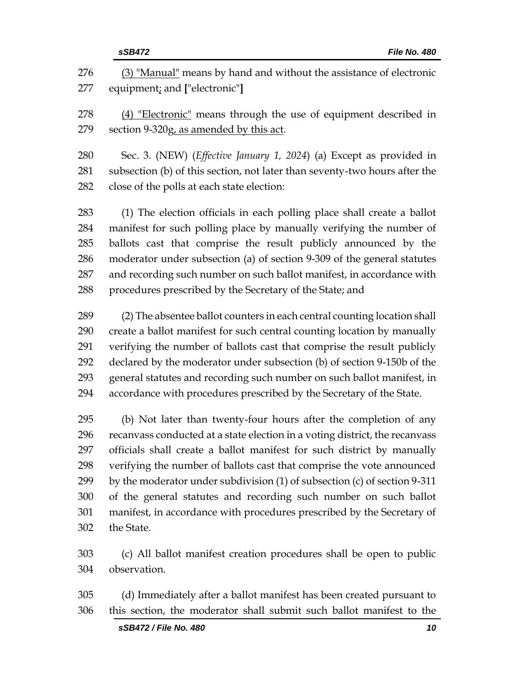|            | sSB472<br>File No. 480                                                                                                   |
|------------|--------------------------------------------------------------------------------------------------------------------------|
| 276<br>277 | (3) "Manual" means by hand and without the assistance of electronic<br>equipment; and ["electronic"]                     |
| 278        | (4) "Electronic" means through the use of equipment described in                                                         |
| 279        | section 9-320g, as amended by this act.                                                                                  |
| 280        | Sec. 3. (NEW) ( <i>Effective January 1, 2024</i> ) (a) Except as provided in                                             |
| 281<br>282 | subsection (b) of this section, not later than seventy-two hours after the<br>close of the polls at each state election: |
| 283        | (1) The election officials in each polling place shall create a ballot                                                   |
| 284        | manifest for such polling place by manually verifying the number of                                                      |
| 285        | ballots cast that comprise the result publicly announced by the                                                          |
| 286        | moderator under subsection (a) of section 9-309 of the general statutes                                                  |
| 287        | and recording such number on such ballot manifest, in accordance with                                                    |
| 288        | procedures prescribed by the Secretary of the State; and                                                                 |
| 289        | (2) The absentee ballot counters in each central counting location shall                                                 |
| 290        | create a ballot manifest for such central counting location by manually                                                  |
| 291        | verifying the number of ballots cast that comprise the result publicly                                                   |
| 292        | declared by the moderator under subsection (b) of section 9-150b of the                                                  |
| 293        | general statutes and recording such number on such ballot manifest, in                                                   |
| 294        | accordance with procedures prescribed by the Secretary of the State.                                                     |
| 295        | (b) Not later than twenty-four hours after the completion of any                                                         |
| 296        | recanvass conducted at a state election in a voting district, the recanvass                                              |
| 297        | officials shall create a ballot manifest for such district by manually                                                   |
| 298        | verifying the number of ballots cast that comprise the vote announced                                                    |
| 299        | by the moderator under subdivision $(1)$ of subsection $(c)$ of section 9-311                                            |
| 300        | of the general statutes and recording such number on such ballot                                                         |
| 301        | manifest, in accordance with procedures prescribed by the Secretary of                                                   |
| 302        | the State.                                                                                                               |
| 303        | (c) All ballot manifest creation procedures shall be open to public                                                      |
| 304        | observation.                                                                                                             |
| 305        | (d) Immediately after a ballot manifest has been created pursuant to                                                     |
| 306        | this section, the moderator shall submit such ballot manifest to the                                                     |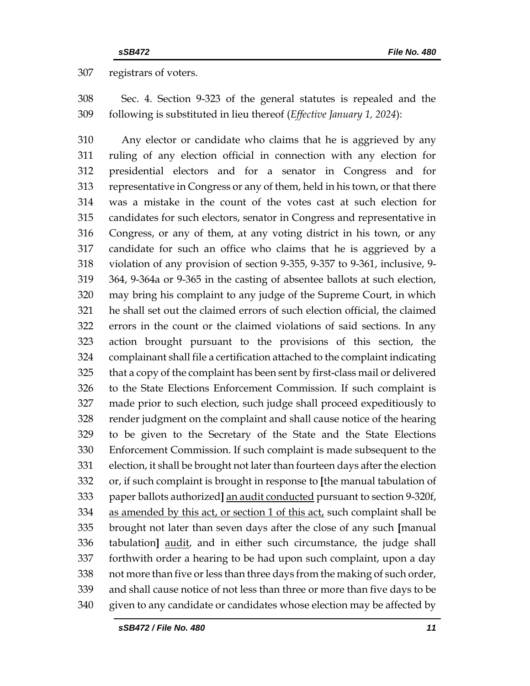registrars of voters.

 Sec. 4. Section 9-323 of the general statutes is repealed and the following is substituted in lieu thereof (*Effective January 1, 2024*):

 Any elector or candidate who claims that he is aggrieved by any ruling of any election official in connection with any election for presidential electors and for a senator in Congress and for representative in Congress or any of them, held in his town, or that there was a mistake in the count of the votes cast at such election for candidates for such electors, senator in Congress and representative in Congress, or any of them, at any voting district in his town, or any candidate for such an office who claims that he is aggrieved by a violation of any provision of section 9-355, 9-357 to 9-361, inclusive, 9- 364, 9-364a or 9-365 in the casting of absentee ballots at such election, may bring his complaint to any judge of the Supreme Court, in which he shall set out the claimed errors of such election official, the claimed errors in the count or the claimed violations of said sections. In any action brought pursuant to the provisions of this section, the complainant shall file a certification attached to the complaint indicating that a copy of the complaint has been sent by first-class mail or delivered to the State Elections Enforcement Commission. If such complaint is made prior to such election, such judge shall proceed expeditiously to render judgment on the complaint and shall cause notice of the hearing to be given to the Secretary of the State and the State Elections Enforcement Commission. If such complaint is made subsequent to the election, it shall be brought not later than fourteen days after the election or, if such complaint is brought in response to **[**the manual tabulation of paper ballots authorized**]** an audit conducted pursuant to section 9-320f, 334 as amended by this act, or section 1 of this act, such complaint shall be brought not later than seven days after the close of any such **[**manual tabulation**]** audit, and in either such circumstance, the judge shall forthwith order a hearing to be had upon such complaint, upon a day not more than five or less than three days from the making of such order, and shall cause notice of not less than three or more than five days to be given to any candidate or candidates whose election may be affected by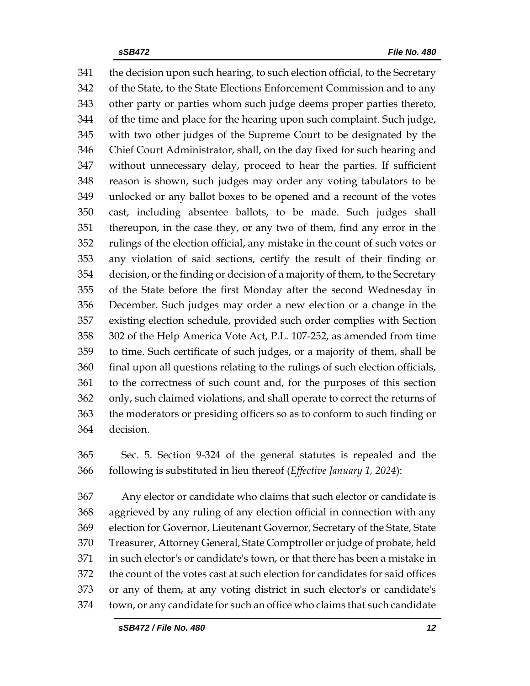the decision upon such hearing, to such election official, to the Secretary of the State, to the State Elections Enforcement Commission and to any other party or parties whom such judge deems proper parties thereto, of the time and place for the hearing upon such complaint. Such judge, with two other judges of the Supreme Court to be designated by the Chief Court Administrator, shall, on the day fixed for such hearing and without unnecessary delay, proceed to hear the parties. If sufficient reason is shown, such judges may order any voting tabulators to be unlocked or any ballot boxes to be opened and a recount of the votes cast, including absentee ballots, to be made. Such judges shall thereupon, in the case they, or any two of them, find any error in the rulings of the election official, any mistake in the count of such votes or any violation of said sections, certify the result of their finding or decision, or the finding or decision of a majority of them, to the Secretary of the State before the first Monday after the second Wednesday in December. Such judges may order a new election or a change in the existing election schedule, provided such order complies with Section 302 of the Help America Vote Act, P.L. 107-252, as amended from time to time. Such certificate of such judges, or a majority of them, shall be final upon all questions relating to the rulings of such election officials, to the correctness of such count and, for the purposes of this section only, such claimed violations, and shall operate to correct the returns of the moderators or presiding officers so as to conform to such finding or decision.

 Sec. 5. Section 9-324 of the general statutes is repealed and the following is substituted in lieu thereof (*Effective January 1, 2024*):

 Any elector or candidate who claims that such elector or candidate is aggrieved by any ruling of any election official in connection with any election for Governor, Lieutenant Governor, Secretary of the State, State Treasurer, Attorney General, State Comptroller or judge of probate, held in such elector's or candidate's town, or that there has been a mistake in the count of the votes cast at such election for candidates for said offices or any of them, at any voting district in such elector's or candidate's town, or any candidate for such an office who claims that such candidate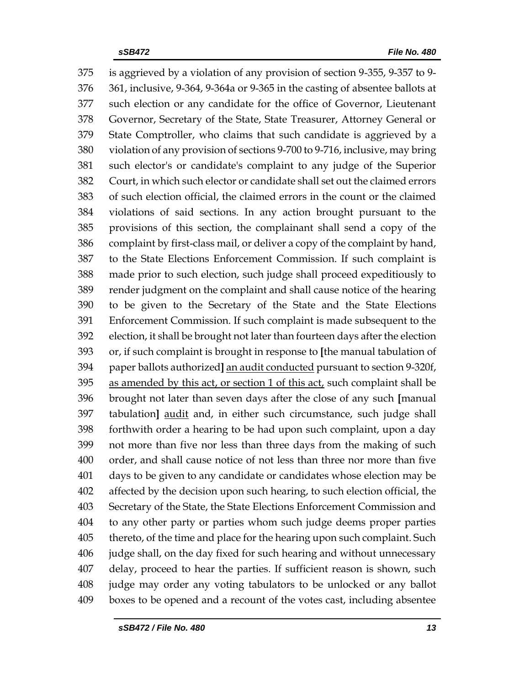is aggrieved by a violation of any provision of section 9-355, 9-357 to 9- 361, inclusive, 9-364, 9-364a or 9-365 in the casting of absentee ballots at such election or any candidate for the office of Governor, Lieutenant Governor, Secretary of the State, State Treasurer, Attorney General or State Comptroller, who claims that such candidate is aggrieved by a violation of any provision of sections 9-700 to 9-716, inclusive, may bring such elector's or candidate's complaint to any judge of the Superior Court, in which such elector or candidate shall set out the claimed errors of such election official, the claimed errors in the count or the claimed violations of said sections. In any action brought pursuant to the provisions of this section, the complainant shall send a copy of the complaint by first-class mail, or deliver a copy of the complaint by hand, to the State Elections Enforcement Commission. If such complaint is made prior to such election, such judge shall proceed expeditiously to render judgment on the complaint and shall cause notice of the hearing to be given to the Secretary of the State and the State Elections Enforcement Commission. If such complaint is made subsequent to the election, it shall be brought not later than fourteen days after the election or, if such complaint is brought in response to **[**the manual tabulation of paper ballots authorized**]** an audit conducted pursuant to section 9-320f, as amended by this act, or section 1 of this act, such complaint shall be brought not later than seven days after the close of any such **[**manual tabulation**]** audit and, in either such circumstance, such judge shall forthwith order a hearing to be had upon such complaint, upon a day not more than five nor less than three days from the making of such order, and shall cause notice of not less than three nor more than five days to be given to any candidate or candidates whose election may be affected by the decision upon such hearing, to such election official, the Secretary of the State, the State Elections Enforcement Commission and to any other party or parties whom such judge deems proper parties thereto, of the time and place for the hearing upon such complaint. Such judge shall, on the day fixed for such hearing and without unnecessary delay, proceed to hear the parties. If sufficient reason is shown, such judge may order any voting tabulators to be unlocked or any ballot boxes to be opened and a recount of the votes cast, including absentee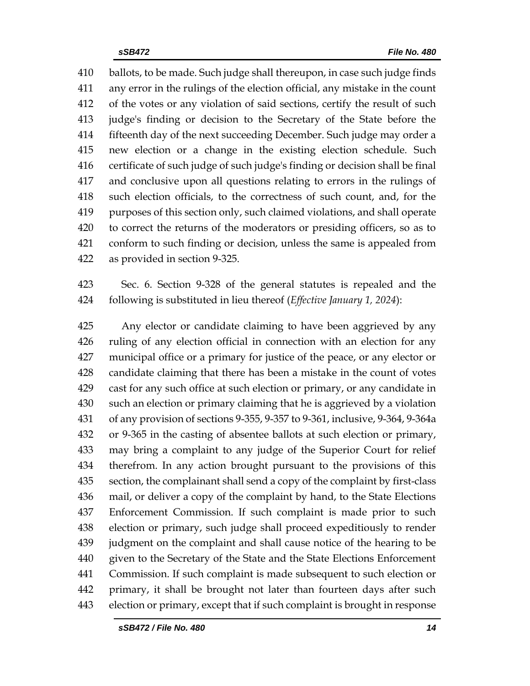ballots, to be made. Such judge shall thereupon, in case such judge finds any error in the rulings of the election official, any mistake in the count of the votes or any violation of said sections, certify the result of such judge's finding or decision to the Secretary of the State before the fifteenth day of the next succeeding December. Such judge may order a new election or a change in the existing election schedule. Such certificate of such judge of such judge's finding or decision shall be final and conclusive upon all questions relating to errors in the rulings of such election officials, to the correctness of such count, and, for the purposes of this section only, such claimed violations, and shall operate to correct the returns of the moderators or presiding officers, so as to conform to such finding or decision, unless the same is appealed from as provided in section 9-325.

 Sec. 6. Section 9-328 of the general statutes is repealed and the following is substituted in lieu thereof (*Effective January 1, 2024*):

 Any elector or candidate claiming to have been aggrieved by any ruling of any election official in connection with an election for any municipal office or a primary for justice of the peace, or any elector or candidate claiming that there has been a mistake in the count of votes cast for any such office at such election or primary, or any candidate in such an election or primary claiming that he is aggrieved by a violation of any provision of sections 9-355, 9-357 to 9-361, inclusive, 9-364, 9-364a or 9-365 in the casting of absentee ballots at such election or primary, may bring a complaint to any judge of the Superior Court for relief therefrom. In any action brought pursuant to the provisions of this section, the complainant shall send a copy of the complaint by first-class mail, or deliver a copy of the complaint by hand, to the State Elections Enforcement Commission. If such complaint is made prior to such election or primary, such judge shall proceed expeditiously to render judgment on the complaint and shall cause notice of the hearing to be given to the Secretary of the State and the State Elections Enforcement Commission. If such complaint is made subsequent to such election or primary, it shall be brought not later than fourteen days after such election or primary, except that if such complaint is brought in response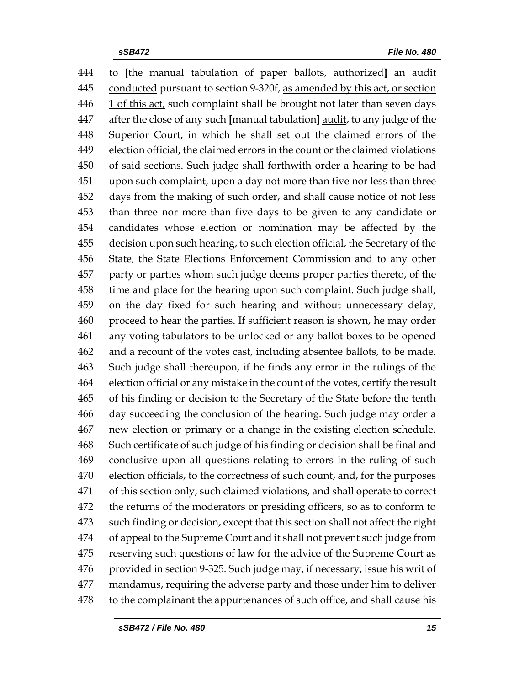to **[**the manual tabulation of paper ballots, authorized**]** an audit conducted pursuant to section 9-320f, as amended by this act, or section 1 of this act, such complaint shall be brought not later than seven days after the close of any such **[**manual tabulation**]** audit, to any judge of the Superior Court, in which he shall set out the claimed errors of the election official, the claimed errors in the count or the claimed violations of said sections. Such judge shall forthwith order a hearing to be had upon such complaint, upon a day not more than five nor less than three days from the making of such order, and shall cause notice of not less than three nor more than five days to be given to any candidate or candidates whose election or nomination may be affected by the decision upon such hearing, to such election official, the Secretary of the State, the State Elections Enforcement Commission and to any other party or parties whom such judge deems proper parties thereto, of the time and place for the hearing upon such complaint. Such judge shall, on the day fixed for such hearing and without unnecessary delay, proceed to hear the parties. If sufficient reason is shown, he may order any voting tabulators to be unlocked or any ballot boxes to be opened and a recount of the votes cast, including absentee ballots, to be made. Such judge shall thereupon, if he finds any error in the rulings of the election official or any mistake in the count of the votes, certify the result of his finding or decision to the Secretary of the State before the tenth day succeeding the conclusion of the hearing. Such judge may order a new election or primary or a change in the existing election schedule. Such certificate of such judge of his finding or decision shall be final and conclusive upon all questions relating to errors in the ruling of such election officials, to the correctness of such count, and, for the purposes of this section only, such claimed violations, and shall operate to correct the returns of the moderators or presiding officers, so as to conform to such finding or decision, except that this section shall not affect the right of appeal to the Supreme Court and it shall not prevent such judge from reserving such questions of law for the advice of the Supreme Court as provided in section 9-325. Such judge may, if necessary, issue his writ of mandamus, requiring the adverse party and those under him to deliver to the complainant the appurtenances of such office, and shall cause his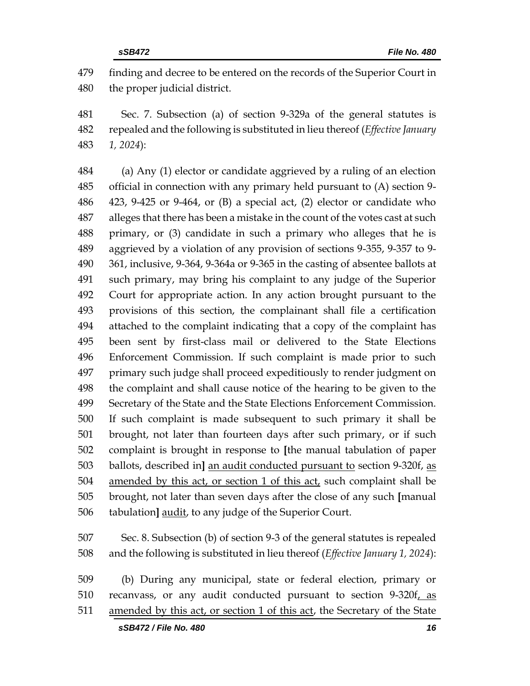finding and decree to be entered on the records of the Superior Court in the proper judicial district.

 Sec. 7. Subsection (a) of section 9-329a of the general statutes is repealed and the following is substituted in lieu thereof (*Effective January 1, 2024*):

 (a) Any (1) elector or candidate aggrieved by a ruling of an election official in connection with any primary held pursuant to (A) section 9- 423, 9-425 or 9-464, or (B) a special act, (2) elector or candidate who alleges that there has been a mistake in the count of the votes cast at such primary, or (3) candidate in such a primary who alleges that he is aggrieved by a violation of any provision of sections 9-355, 9-357 to 9- 361, inclusive, 9-364, 9-364a or 9-365 in the casting of absentee ballots at such primary, may bring his complaint to any judge of the Superior Court for appropriate action. In any action brought pursuant to the provisions of this section, the complainant shall file a certification attached to the complaint indicating that a copy of the complaint has been sent by first-class mail or delivered to the State Elections Enforcement Commission. If such complaint is made prior to such primary such judge shall proceed expeditiously to render judgment on the complaint and shall cause notice of the hearing to be given to the Secretary of the State and the State Elections Enforcement Commission. If such complaint is made subsequent to such primary it shall be brought, not later than fourteen days after such primary, or if such complaint is brought in response to **[**the manual tabulation of paper ballots, described in**]** an audit conducted pursuant to section 9-320f, as amended by this act, or section 1 of this act, such complaint shall be brought, not later than seven days after the close of any such **[**manual tabulation**]** audit, to any judge of the Superior Court.

 Sec. 8. Subsection (b) of section 9-3 of the general statutes is repealed and the following is substituted in lieu thereof (*Effective January 1, 2024*):

 (b) During any municipal, state or federal election, primary or 510 recanvass, or any audit conducted pursuant to section 9-320f, as amended by this act, or section 1 of this act, the Secretary of the State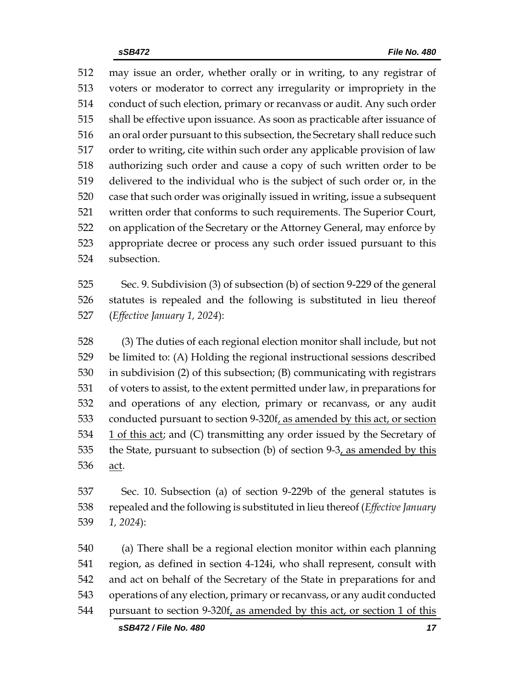may issue an order, whether orally or in writing, to any registrar of voters or moderator to correct any irregularity or impropriety in the conduct of such election, primary or recanvass or audit. Any such order shall be effective upon issuance. As soon as practicable after issuance of an oral order pursuant to this subsection, the Secretary shall reduce such order to writing, cite within such order any applicable provision of law authorizing such order and cause a copy of such written order to be delivered to the individual who is the subject of such order or, in the case that such order was originally issued in writing, issue a subsequent written order that conforms to such requirements. The Superior Court, on application of the Secretary or the Attorney General, may enforce by appropriate decree or process any such order issued pursuant to this subsection.

 Sec. 9. Subdivision (3) of subsection (b) of section 9-229 of the general statutes is repealed and the following is substituted in lieu thereof (*Effective January 1, 2024*):

 (3) The duties of each regional election monitor shall include, but not be limited to: (A) Holding the regional instructional sessions described in subdivision (2) of this subsection; (B) communicating with registrars of voters to assist, to the extent permitted under law, in preparations for and operations of any election, primary or recanvass, or any audit conducted pursuant to section 9-320f, as amended by this act, or section 1 of this act; and (C) transmitting any order issued by the Secretary of the State, pursuant to subsection (b) of section 9-3, as amended by this act.

 Sec. 10. Subsection (a) of section 9-229b of the general statutes is repealed and the following is substituted in lieu thereof (*Effective January 1, 2024*):

 (a) There shall be a regional election monitor within each planning region, as defined in section 4-124i, who shall represent, consult with and act on behalf of the Secretary of the State in preparations for and operations of any election, primary or recanvass, or any audit conducted pursuant to section 9-320f, as amended by this act, or section 1 of this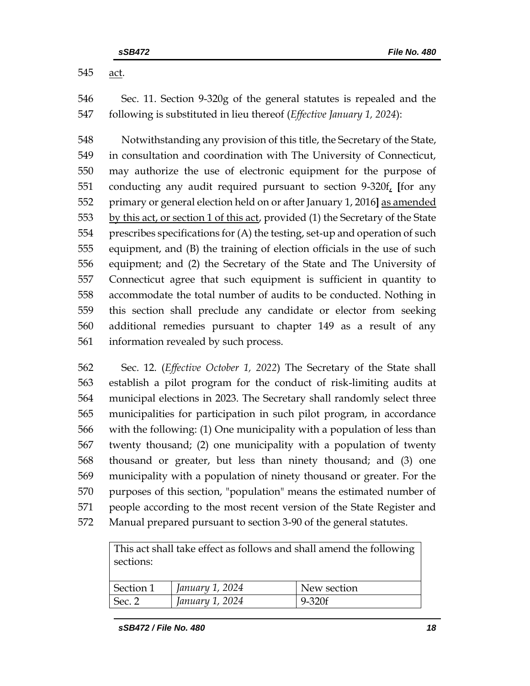act.

 Sec. 11. Section 9-320g of the general statutes is repealed and the following is substituted in lieu thereof (*Effective January 1, 2024*):

 Notwithstanding any provision of this title, the Secretary of the State, in consultation and coordination with The University of Connecticut, may authorize the use of electronic equipment for the purpose of conducting any audit required pursuant to section 9-320f, **[**for any primary or general election held on or after January 1, 2016**]** as amended 553 by this act, or section 1 of this act, provided (1) the Secretary of the State prescribes specifications for (A) the testing, set-up and operation of such equipment, and (B) the training of election officials in the use of such equipment; and (2) the Secretary of the State and The University of Connecticut agree that such equipment is sufficient in quantity to accommodate the total number of audits to be conducted. Nothing in this section shall preclude any candidate or elector from seeking additional remedies pursuant to chapter 149 as a result of any information revealed by such process.

 Sec. 12. (*Effective October 1, 2022*) The Secretary of the State shall establish a pilot program for the conduct of risk-limiting audits at municipal elections in 2023. The Secretary shall randomly select three municipalities for participation in such pilot program, in accordance with the following: (1) One municipality with a population of less than twenty thousand; (2) one municipality with a population of twenty thousand or greater, but less than ninety thousand; and (3) one municipality with a population of ninety thousand or greater. For the purposes of this section, "population" means the estimated number of people according to the most recent version of the State Register and Manual prepared pursuant to section 3-90 of the general statutes.

This act shall take effect as follows and shall amend the following sections:

| Section 1 | 1 January 1, 2024 | New section |
|-----------|-------------------|-------------|
| Sec. 2    | January 1, 2024   | $9 - 320f$  |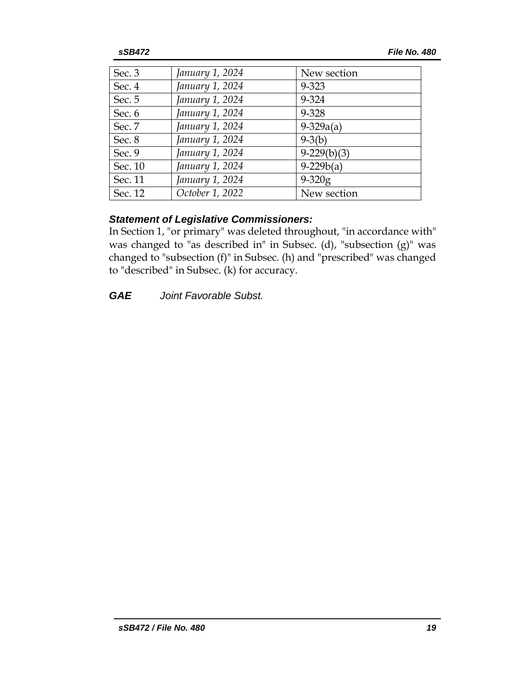| Sec. $3$ | January 1, 2024 | New section   |
|----------|-----------------|---------------|
| Sec. 4   | January 1, 2024 | 9-323         |
| Sec. 5   | January 1, 2024 | 9-324         |
| Sec. 6   | January 1, 2024 | 9-328         |
| Sec. 7   | January 1, 2024 | $9 - 329a(a)$ |
| Sec. 8   | January 1, 2024 | $9 - 3(b)$    |
| Sec. 9   | January 1, 2024 | $9-229(b)(3)$ |
| Sec. 10  | January 1, 2024 | $9-229b(a)$   |
| Sec. 11  | January 1, 2024 | $9 - 320g$    |
| Sec. 12  | October 1, 2022 | New section   |

### *Statement of Legislative Commissioners:*

In Section 1, "or primary" was deleted throughout, "in accordance with" was changed to "as described in" in Subsec. (d), "subsection (g)" was changed to "subsection (f)" in Subsec. (h) and "prescribed" was changed to "described" in Subsec. (k) for accuracy.

*GAE Joint Favorable Subst.*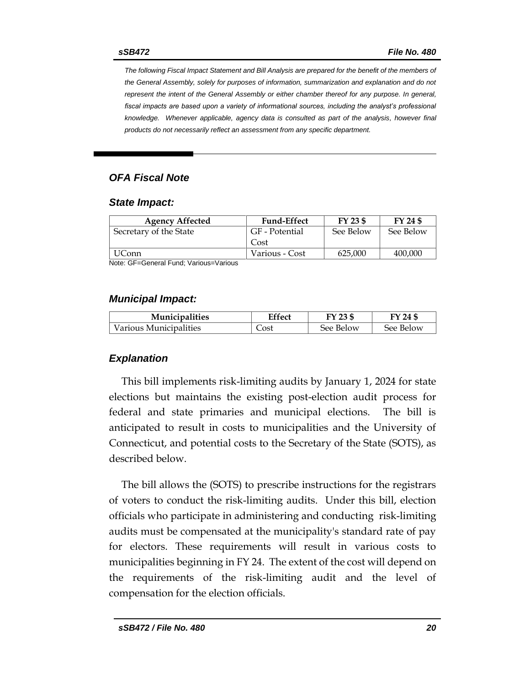*The following Fiscal Impact Statement and Bill Analysis are prepared for the benefit of the members of the General Assembly, solely for purposes of information, summarization and explanation and do not represent the intent of the General Assembly or either chamber thereof for any purpose. In general,*  fiscal impacts are based upon a variety of informational sources, including the analyst's professional *knowledge. Whenever applicable, agency data is consulted as part of the analysis, however final products do not necessarily reflect an assessment from any specific department.*

### *OFA Fiscal Note*

#### *State Impact:*

| <b>Fund-Effect</b> | FY 23 \$  | FY 24 \$  |
|--------------------|-----------|-----------|
| GF - Potential     | See Below | See Below |
| Cost               |           |           |
| Various - Cost     | 625,000   | 400,000   |
|                    |           |           |

Note: GF=General Fund; Various=Various

#### *Municipal Impact:*

| <b>Municipalities</b>  | Effect | FY 23 \$  | FY 24 \$  |
|------------------------|--------|-----------|-----------|
| Various Municipalities | Cost   | See Below | See Below |

### *Explanation*

This bill implements risk-limiting audits by January 1, 2024 for state elections but maintains the existing post-election audit process for federal and state primaries and municipal elections. The bill is anticipated to result in costs to municipalities and the University of Connecticut, and potential costs to the Secretary of the State (SOTS), as described below.

The bill allows the (SOTS) to prescribe instructions for the registrars of voters to conduct the risk-limiting audits. Under this bill, election officials who participate in administering and conducting risk-limiting audits must be compensated at the municipality's standard rate of pay for electors. These requirements will result in various costs to municipalities beginning in FY 24. The extent of the cost will depend on the requirements of the risk-limiting audit and the level of compensation for the election officials.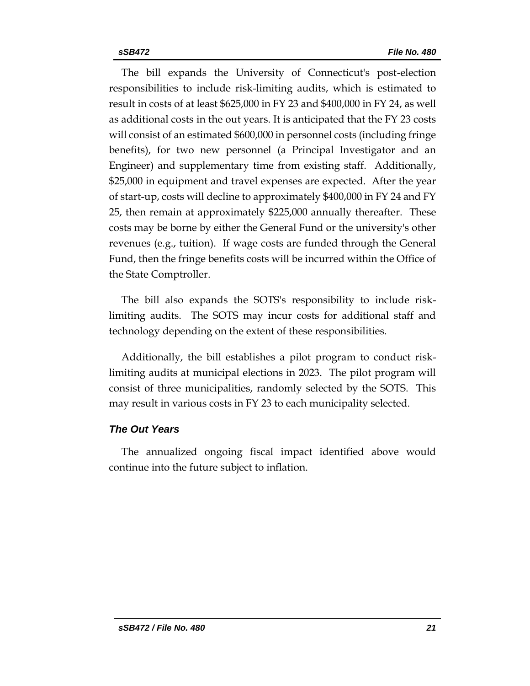The bill expands the University of Connecticut's post-election responsibilities to include risk-limiting audits, which is estimated to result in costs of at least \$625,000 in FY 23 and \$400,000 in FY 24, as well as additional costs in the out years. It is anticipated that the FY 23 costs will consist of an estimated \$600,000 in personnel costs (including fringe benefits), for two new personnel (a Principal Investigator and an Engineer) and supplementary time from existing staff. Additionally, \$25,000 in equipment and travel expenses are expected. After the year of start-up, costs will decline to approximately \$400,000 in FY 24 and FY 25, then remain at approximately \$225,000 annually thereafter. These costs may be borne by either the General Fund or the university's other revenues (e.g., tuition). If wage costs are funded through the General Fund, then the fringe benefits costs will be incurred within the Office of the State Comptroller.

The bill also expands the SOTS's responsibility to include risklimiting audits. The SOTS may incur costs for additional staff and technology depending on the extent of these responsibilities.

Additionally, the bill establishes a pilot program to conduct risklimiting audits at municipal elections in 2023. The pilot program will consist of three municipalities, randomly selected by the SOTS. This may result in various costs in FY 23 to each municipality selected.

### *The Out Years*

The annualized ongoing fiscal impact identified above would continue into the future subject to inflation.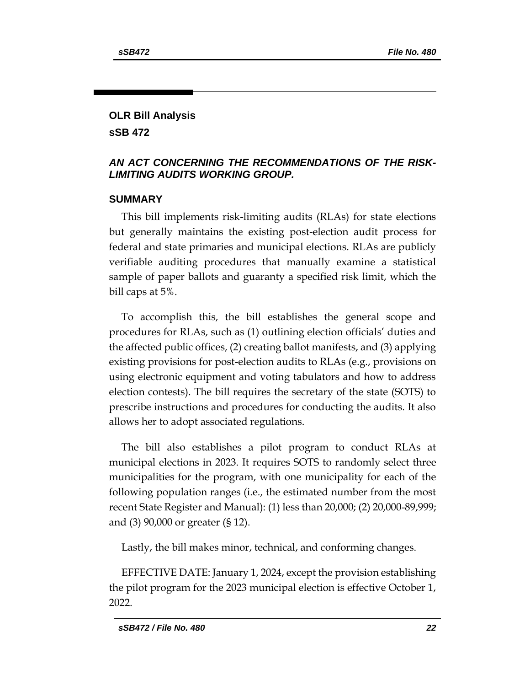### **OLR Bill Analysis sSB 472**

### *AN ACT CONCERNING THE RECOMMENDATIONS OF THE RISK-LIMITING AUDITS WORKING GROUP.*

### **SUMMARY**

This bill implements risk-limiting audits (RLAs) for state elections but generally maintains the existing post-election audit process for federal and state primaries and municipal elections. RLAs are publicly verifiable auditing procedures that manually examine a statistical sample of paper ballots and guaranty a specified risk limit, which the bill caps at 5%.

To accomplish this, the bill establishes the general scope and procedures for RLAs, such as (1) outlining election officials' duties and the affected public offices, (2) creating ballot manifests, and (3) applying existing provisions for post-election audits to RLAs (e.g., provisions on using electronic equipment and voting tabulators and how to address election contests). The bill requires the secretary of the state (SOTS) to prescribe instructions and procedures for conducting the audits. It also allows her to adopt associated regulations.

The bill also establishes a pilot program to conduct RLAs at municipal elections in 2023. It requires SOTS to randomly select three municipalities for the program, with one municipality for each of the following population ranges (i.e., the estimated number from the most recent State Register and Manual): (1) less than 20,000; (2) 20,000-89,999; and (3) 90,000 or greater (§ 12).

Lastly, the bill makes minor, technical, and conforming changes.

EFFECTIVE DATE: January 1, 2024, except the provision establishing the pilot program for the 2023 municipal election is effective October 1, 2022.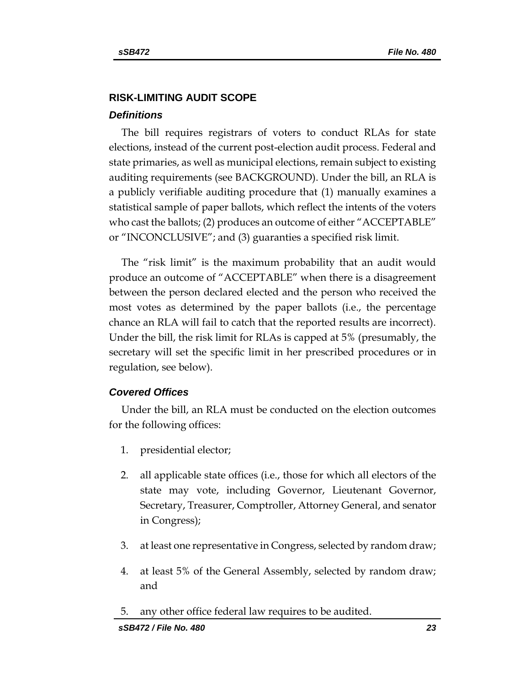# **RISK-LIMITING AUDIT SCOPE**

### *Definitions*

The bill requires registrars of voters to conduct RLAs for state elections, instead of the current post-election audit process. Federal and state primaries, as well as municipal elections, remain subject to existing auditing requirements (see BACKGROUND). Under the bill, an RLA is a publicly verifiable auditing procedure that (1) manually examines a statistical sample of paper ballots, which reflect the intents of the voters who cast the ballots; (2) produces an outcome of either "ACCEPTABLE" or "INCONCLUSIVE"; and (3) guaranties a specified risk limit.

The "risk limit" is the maximum probability that an audit would produce an outcome of "ACCEPTABLE" when there is a disagreement between the person declared elected and the person who received the most votes as determined by the paper ballots (i.e., the percentage chance an RLA will fail to catch that the reported results are incorrect). Under the bill, the risk limit for RLAs is capped at 5% (presumably, the secretary will set the specific limit in her prescribed procedures or in regulation, see below).

### *Covered Offices*

Under the bill, an RLA must be conducted on the election outcomes for the following offices:

- 1. presidential elector;
- 2. all applicable state offices (i.e., those for which all electors of the state may vote, including Governor, Lieutenant Governor, Secretary, Treasurer, Comptroller, Attorney General, and senator in Congress);
- 3. at least one representative in Congress, selected by random draw;
- 4. at least 5% of the General Assembly, selected by random draw; and
- 5. any other office federal law requires to be audited.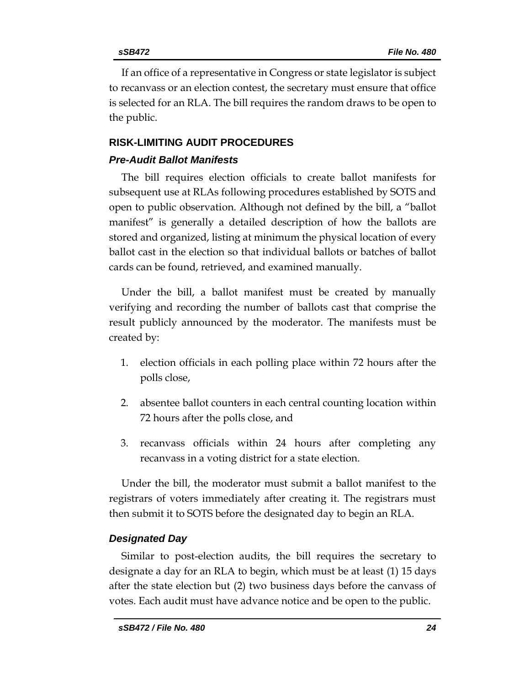If an office of a representative in Congress or state legislator is subject to recanvass or an election contest, the secretary must ensure that office is selected for an RLA. The bill requires the random draws to be open to the public.

# **RISK-LIMITING AUDIT PROCEDURES** *Pre-Audit Ballot Manifests*

The bill requires election officials to create ballot manifests for subsequent use at RLAs following procedures established by SOTS and open to public observation. Although not defined by the bill, a "ballot manifest" is generally a detailed description of how the ballots are stored and organized, listing at minimum the physical location of every ballot cast in the election so that individual ballots or batches of ballot cards can be found, retrieved, and examined manually.

Under the bill, a ballot manifest must be created by manually verifying and recording the number of ballots cast that comprise the result publicly announced by the moderator. The manifests must be created by:

- 1. election officials in each polling place within 72 hours after the polls close,
- 2. absentee ballot counters in each central counting location within 72 hours after the polls close, and
- 3. recanvass officials within 24 hours after completing any recanvass in a voting district for a state election.

Under the bill, the moderator must submit a ballot manifest to the registrars of voters immediately after creating it. The registrars must then submit it to SOTS before the designated day to begin an RLA.

### *Designated Day*

Similar to post-election audits, the bill requires the secretary to designate a day for an RLA to begin, which must be at least (1) 15 days after the state election but (2) two business days before the canvass of votes. Each audit must have advance notice and be open to the public.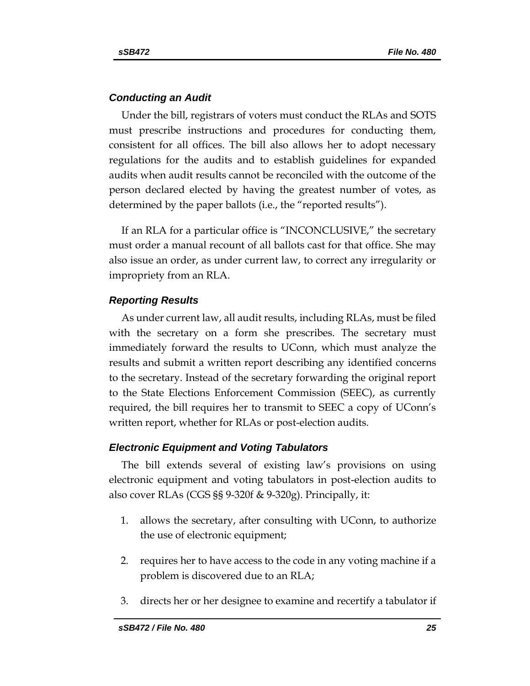### *Conducting an Audit*

Under the bill, registrars of voters must conduct the RLAs and SOTS must prescribe instructions and procedures for conducting them, consistent for all offices. The bill also allows her to adopt necessary regulations for the audits and to establish guidelines for expanded audits when audit results cannot be reconciled with the outcome of the person declared elected by having the greatest number of votes, as determined by the paper ballots (i.e., the "reported results").

If an RLA for a particular office is "INCONCLUSIVE," the secretary must order a manual recount of all ballots cast for that office. She may also issue an order, as under current law, to correct any irregularity or impropriety from an RLA.

### *Reporting Results*

As under current law, all audit results, including RLAs, must be filed with the secretary on a form she prescribes. The secretary must immediately forward the results to UConn, which must analyze the results and submit a written report describing any identified concerns to the secretary. Instead of the secretary forwarding the original report to the State Elections Enforcement Commission (SEEC), as currently required, the bill requires her to transmit to SEEC a copy of UConn's written report, whether for RLAs or post-election audits.

### *Electronic Equipment and Voting Tabulators*

The bill extends several of existing law's provisions on using electronic equipment and voting tabulators in post-election audits to also cover RLAs (CGS §§ 9-320f & 9-320g). Principally, it:

- 1. allows the secretary, after consulting with UConn, to authorize the use of electronic equipment;
- 2. requires her to have access to the code in any voting machine if a problem is discovered due to an RLA;
- 3. directs her or her designee to examine and recertify a tabulator if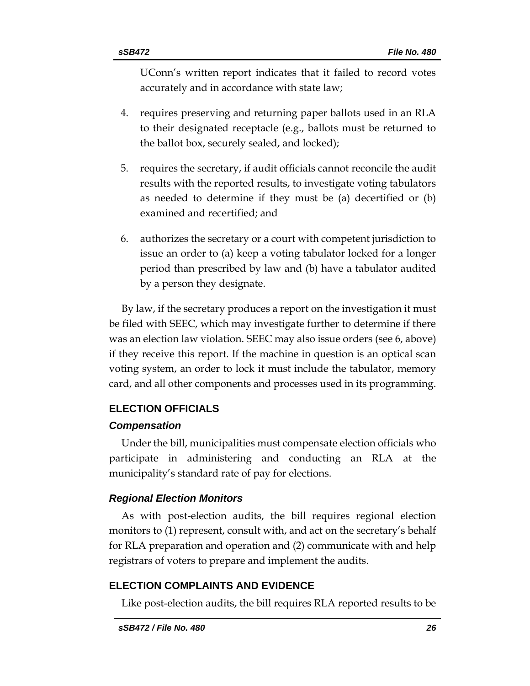UConn's written report indicates that it failed to record votes accurately and in accordance with state law;

- 4. requires preserving and returning paper ballots used in an RLA to their designated receptacle (e.g., ballots must be returned to the ballot box, securely sealed, and locked);
- 5. requires the secretary, if audit officials cannot reconcile the audit results with the reported results, to investigate voting tabulators as needed to determine if they must be (a) decertified or (b) examined and recertified; and
- 6. authorizes the secretary or a court with competent jurisdiction to issue an order to (a) keep a voting tabulator locked for a longer period than prescribed by law and (b) have a tabulator audited by a person they designate.

By law, if the secretary produces a report on the investigation it must be filed with SEEC, which may investigate further to determine if there was an election law violation. SEEC may also issue orders (see 6, above) if they receive this report. If the machine in question is an optical scan voting system, an order to lock it must include the tabulator, memory card, and all other components and processes used in its programming.

# **ELECTION OFFICIALS**

# *Compensation*

Under the bill, municipalities must compensate election officials who participate in administering and conducting an RLA at the municipality's standard rate of pay for elections.

# *Regional Election Monitors*

As with post-election audits, the bill requires regional election monitors to (1) represent, consult with, and act on the secretary's behalf for RLA preparation and operation and (2) communicate with and help registrars of voters to prepare and implement the audits.

# **ELECTION COMPLAINTS AND EVIDENCE**

Like post-election audits, the bill requires RLA reported results to be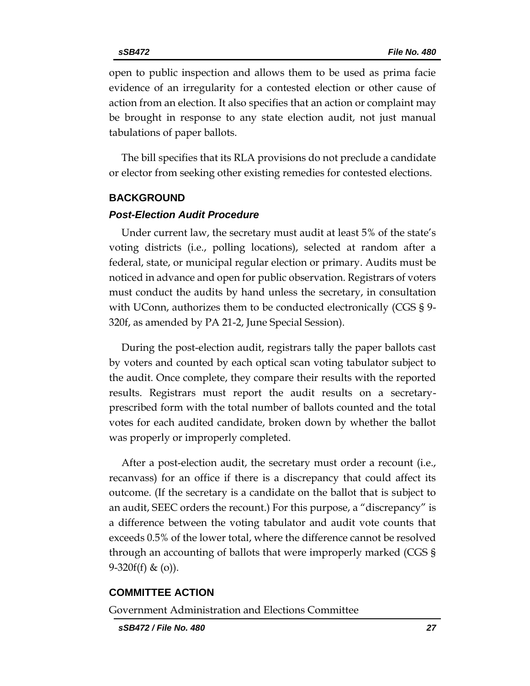open to public inspection and allows them to be used as prima facie evidence of an irregularity for a contested election or other cause of action from an election. It also specifies that an action or complaint may be brought in response to any state election audit, not just manual tabulations of paper ballots.

The bill specifies that its RLA provisions do not preclude a candidate or elector from seeking other existing remedies for contested elections.

#### **BACKGROUND**

#### *Post-Election Audit Procedure*

Under current law, the secretary must audit at least 5% of the state's voting districts (i.e., polling locations), selected at random after a federal, state, or municipal regular election or primary. Audits must be noticed in advance and open for public observation. Registrars of voters must conduct the audits by hand unless the secretary, in consultation with UConn, authorizes them to be conducted electronically (CGS § 9- 320f, as amended by PA 21-2, June Special Session).

During the post-election audit, registrars tally the paper ballots cast by voters and counted by each optical scan voting tabulator subject to the audit. Once complete, they compare their results with the reported results. Registrars must report the audit results on a secretaryprescribed form with the total number of ballots counted and the total votes for each audited candidate, broken down by whether the ballot was properly or improperly completed.

After a post-election audit, the secretary must order a recount (i.e., recanvass) for an office if there is a discrepancy that could affect its outcome. (If the secretary is a candidate on the ballot that is subject to an audit, SEEC orders the recount.) For this purpose, a "discrepancy" is a difference between the voting tabulator and audit vote counts that exceeds 0.5% of the lower total, where the difference cannot be resolved through an accounting of ballots that were improperly marked (CGS § 9-320 $f(f)$  & (o)).

#### **COMMITTEE ACTION**

Government Administration and Elections Committee